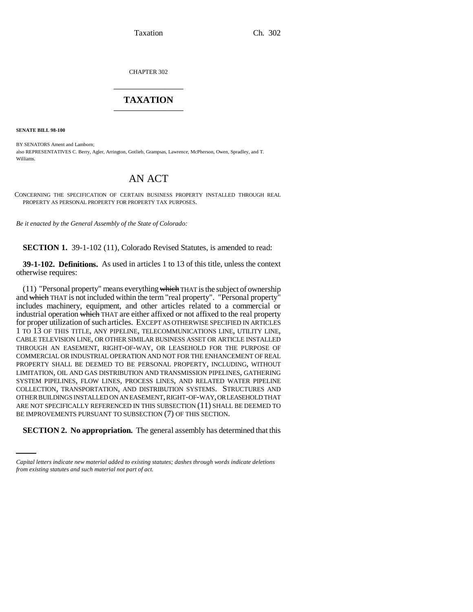Taxation Ch. 302

CHAPTER 302 \_\_\_\_\_\_\_\_\_\_\_\_\_\_\_

## **TAXATION** \_\_\_\_\_\_\_\_\_\_\_\_\_\_\_

**SENATE BILL 98-100**

BY SENATORS Ament and Lamborn; also REPRESENTATIVES C. Berry, Agler, Arrington, Gotlieb, Grampsas, Lawrence, McPherson, Owen, Spradley, and T. Williams.

## AN ACT

CONCERNING THE SPECIFICATION OF CERTAIN BUSINESS PROPERTY INSTALLED THROUGH REAL PROPERTY AS PERSONAL PROPERTY FOR PROPERTY TAX PURPOSES.

*Be it enacted by the General Assembly of the State of Colorado:*

**SECTION 1.** 39-1-102 (11), Colorado Revised Statutes, is amended to read:

**39-1-102. Definitions.** As used in articles 1 to 13 of this title, unless the context otherwise requires:

BE IMPROVEMENTS PURSUANT TO SUBSECTION (7) OF THIS SECTION.  $(11)$  "Personal property" means everything which THAT is the subject of ownership and which THAT is not included within the term "real property". "Personal property" includes machinery, equipment, and other articles related to a commercial or industrial operation which THAT are either affixed or not affixed to the real property for proper utilization of such articles. EXCEPT AS OTHERWISE SPECIFIED IN ARTICLES 1 TO 13 OF THIS TITLE, ANY PIPELINE, TELECOMMUNICATIONS LINE, UTILITY LINE, CABLE TELEVISION LINE, OR OTHER SIMILAR BUSINESS ASSET OR ARTICLE INSTALLED THROUGH AN EASEMENT, RIGHT-OF-WAY, OR LEASEHOLD FOR THE PURPOSE OF COMMERCIAL OR INDUSTRIAL OPERATION AND NOT FOR THE ENHANCEMENT OF REAL PROPERTY SHALL BE DEEMED TO BE PERSONAL PROPERTY, INCLUDING, WITHOUT LIMITATION, OIL AND GAS DISTRIBUTION AND TRANSMISSION PIPELINES, GATHERING SYSTEM PIPELINES, FLOW LINES, PROCESS LINES, AND RELATED WATER PIPELINE COLLECTION, TRANSPORTATION, AND DISTRIBUTION SYSTEMS. STRUCTURES AND OTHER BUILDINGS INSTALLED ON AN EASEMENT, RIGHT-OF-WAY, OR LEASEHOLD THAT ARE NOT SPECIFICALLY REFERENCED IN THIS SUBSECTION (11) SHALL BE DEEMED TO

**SECTION 2. No appropriation.** The general assembly has determined that this

*Capital letters indicate new material added to existing statutes; dashes through words indicate deletions from existing statutes and such material not part of act.*